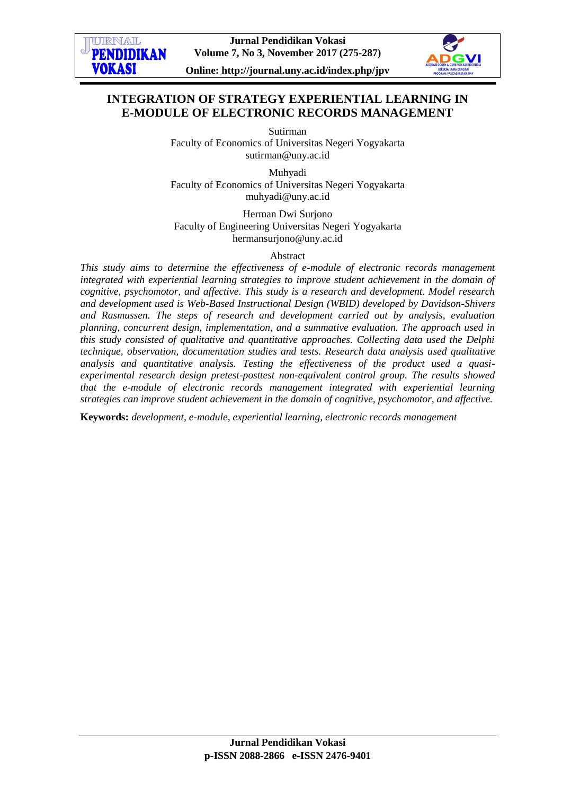



# **INTEGRATION OF STRATEGY EXPERIENTIAL LEARNING IN E-MODULE OF ELECTRONIC RECORDS MANAGEMENT**

Sutirman

Faculty of Economics of Universitas Negeri Yogyakarta [sutirman@uny.ac.id](mailto:sutirman@uny.ac.id)

Muhyadi Faculty of Economics of Universitas Negeri Yogyakarta [muhyadi@uny.ac.id](mailto:muhyadi@uny.ac.id)

Herman Dwi Surjono Faculty of Engineering Universitas Negeri Yogyakarta hermansurjono@uny.ac.id

Abstract

*This study aims to determine the effectiveness of e-module of electronic records management integrated with experiential learning strategies to improve student achievement in the domain of cognitive, psychomotor, and affective. This study is a research and development. Model research and development used is Web-Based Instructional Design (WBID) developed by Davidson-Shivers and Rasmussen. The steps of research and development carried out by analysis, evaluation planning, concurrent design, implementation, and a summative evaluation. The approach used in this study consisted of qualitative and quantitative approaches. Collecting data used the Delphi technique, observation, documentation studies and tests. Research data analysis used qualitative analysis and quantitative analysis. Testing the effectiveness of the product used a quasiexperimental research design pretest-posttest non-equivalent control group. The results showed that the e-module of electronic records management integrated with experiential learning strategies can improve student achievement in the domain of cognitive, psychomotor, and affective.*

**Keywords:** *development, e-module, experiential learning, electronic records management*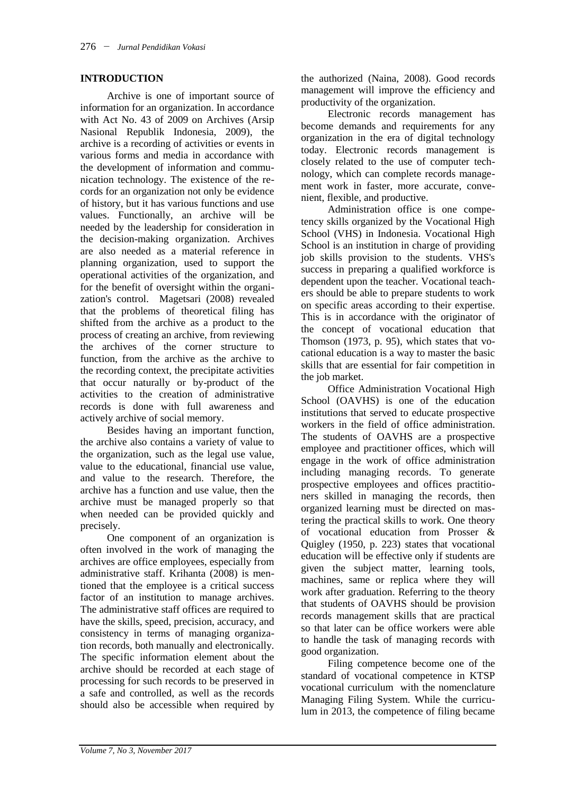# **INTRODUCTION**

Archive is one of important source of information for an organization. In accordance with Act No. 43 of 2009 on Archives (Arsip Nasional Republik Indonesia, 2009), the archive is a recording of activities or events in various forms and media in accordance with the development of information and communication technology. The existence of the records for an organization not only be evidence of history, but it has various functions and use values. Functionally, an archive will be needed by the leadership for consideration in the decision-making organization. Archives are also needed as a material reference in planning organization, used to support the operational activities of the organization, and for the benefit of oversight within the organization's control. Magetsari (2008) revealed that the problems of theoretical filing has shifted from the archive as a product to the process of creating an archive, from reviewing the archives of the corner structure to function, from the archive as the archive to the recording context, the precipitate activities that occur naturally or by-product of the activities to the creation of administrative records is done with full awareness and actively archive of social memory.

Besides having an important function, the archive also contains a variety of value to the organization, such as the legal use value, value to the educational, financial use value, and value to the research. Therefore, the archive has a function and use value, then the archive must be managed properly so that when needed can be provided quickly and precisely.

One component of an organization is often involved in the work of managing the archives are office employees, especially from administrative staff. Krihanta (2008) is mentioned that the employee is a critical success factor of an institution to manage archives. The administrative staff offices are required to have the skills, speed, precision, accuracy, and consistency in terms of managing organization records, both manually and electronically. The specific information element about the archive should be recorded at each stage of processing for such records to be preserved in a safe and controlled, as well as the records should also be accessible when required by

the authorized (Naina, 2008). Good records management will improve the efficiency and productivity of the organization.

Electronic records management has become demands and requirements for any organization in the era of digital technology today. Electronic records management is closely related to the use of computer technology, which can complete records management work in faster, more accurate, convenient, flexible, and productive.

Administration office is one competency skills organized by the Vocational High School (VHS) in Indonesia. Vocational High School is an institution in charge of providing job skills provision to the students. VHS's success in preparing a qualified workforce is dependent upon the teacher. Vocational teachers should be able to prepare students to work on specific areas according to their expertise. This is in accordance with the originator of the concept of vocational education that Thomson (1973, p. 95), which states that vocational education is a way to master the basic skills that are essential for fair competition in the job market.

Office Administration Vocational High School (OAVHS) is one of the education institutions that served to educate prospective workers in the field of office administration. The students of OAVHS are a prospective employee and practitioner offices, which will engage in the work of office administration including managing records. To generate prospective employees and offices practitioners skilled in managing the records, then organized learning must be directed on mastering the practical skills to work. One theory of vocational education from Prosser & Quigley (1950, p. 223) states that vocational education will be effective only if students are given the subject matter, learning tools, machines, same or replica where they will work after graduation. Referring to the theory that students of OAVHS should be provision records management skills that are practical so that later can be office workers were able to handle the task of managing records with good organization.

Filing competence become one of the standard of vocational competence in KTSP vocational curriculum with the nomenclature Managing Filing System. While the curriculum in 2013, the competence of filing became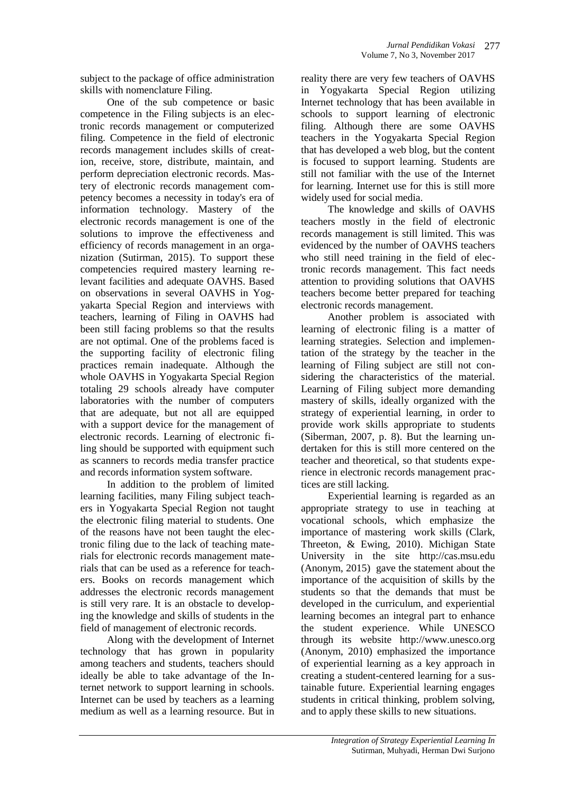subject to the package of office administration skills with nomenclature Filing.

One of the sub competence or basic competence in the Filing subjects is an electronic records management or computerized filing. Competence in the field of electronic records management includes skills of creation, receive, store, distribute, maintain, and perform depreciation electronic records. Mastery of electronic records management competency becomes a necessity in today's era of information technology. Mastery of the electronic records management is one of the solutions to improve the effectiveness and efficiency of records management in an organization (Sutirman, 2015). To support these competencies required mastery learning relevant facilities and adequate OAVHS. Based on observations in several OAVHS in Yogyakarta Special Region and interviews with teachers, learning of Filing in OAVHS had been still facing problems so that the results are not optimal. One of the problems faced is the supporting facility of electronic filing practices remain inadequate. Although the whole OAVHS in Yogyakarta Special Region totaling 29 schools already have computer laboratories with the number of computers that are adequate, but not all are equipped with a support device for the management of electronic records. Learning of electronic filing should be supported with equipment such as scanners to records media transfer practice and records information system software.

In addition to the problem of limited learning facilities, many Filing subject teachers in Yogyakarta Special Region not taught the electronic filing material to students. One of the reasons have not been taught the electronic filing due to the lack of teaching materials for electronic records management materials that can be used as a reference for teachers. Books on records management which addresses the electronic records management is still very rare. It is an obstacle to developing the knowledge and skills of students in the field of management of electronic records.

Along with the development of Internet technology that has grown in popularity among teachers and students, teachers should ideally be able to take advantage of the Internet network to support learning in schools. Internet can be used by teachers as a learning medium as well as a learning resource. But in reality there are very few teachers of OAVHS in Yogyakarta Special Region utilizing Internet technology that has been available in schools to support learning of electronic filing. Although there are some OAVHS teachers in the Yogyakarta Special Region that has developed a web blog, but the content is focused to support learning. Students are still not familiar with the use of the Internet for learning. Internet use for this is still more widely used for social media.

The knowledge and skills of OAVHS teachers mostly in the field of electronic records management is still limited. This was evidenced by the number of OAVHS teachers who still need training in the field of electronic records management. This fact needs attention to providing solutions that OAVHS teachers become better prepared for teaching electronic records management.

Another problem is associated with learning of electronic filing is a matter of learning strategies. Selection and implementation of the strategy by the teacher in the learning of Filing subject are still not considering the characteristics of the material. Learning of Filing subject more demanding mastery of skills, ideally organized with the strategy of experiential learning, in order to provide work skills appropriate to students (Siberman, 2007, p. 8). But the learning undertaken for this is still more centered on the teacher and theoretical, so that students experience in electronic records management practices are still lacking.

Experiential learning is regarded as an appropriate strategy to use in teaching at vocational schools, which emphasize the importance of mastering work skills (Clark, Threeton, & Ewing, 2010). Michigan State University in the site http://cas.msu.edu (Anonym, 2015) gave the statement about the importance of the acquisition of skills by the students so that the demands that must be developed in the curriculum, and experiential learning becomes an integral part to enhance the student experience. While UNESCO through its website http://www.unesco.org (Anonym, 2010) emphasized the importance of experiential learning as a key approach in creating a student-centered learning for a sustainable future. Experiential learning engages students in critical thinking, problem solving, and to apply these skills to new situations.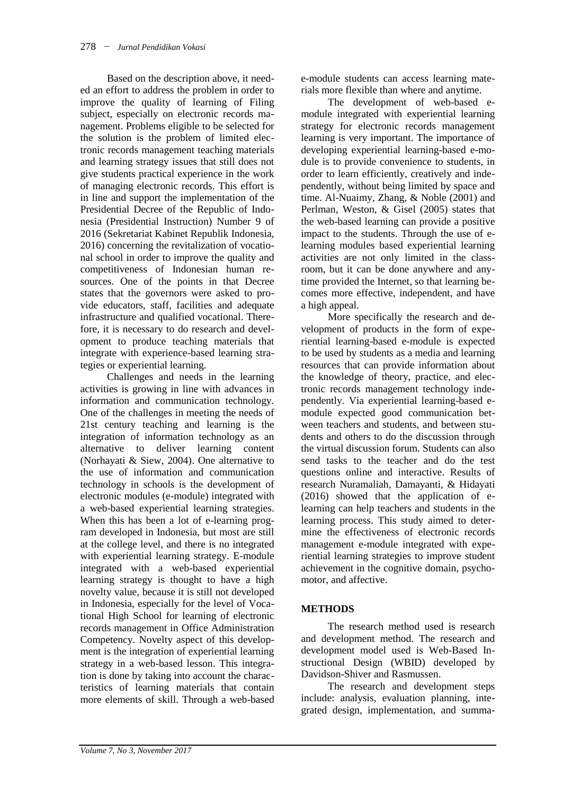Based on the description above, it needed an effort to address the problem in order to improve the quality of learning of Filing subject, especially on electronic records management. Problems eligible to be selected for the solution is the problem of limited electronic records management teaching materials and learning strategy issues that still does not give students practical experience in the work of managing electronic records. This effort is in line and support the implementation of the Presidential Decree of the Republic of Indonesia (Presidential Instruction) Number 9 of 2016 (Sekretariat Kabinet Republik Indonesia, 2016) concerning the revitalization of vocational school in order to improve the quality and competitiveness of Indonesian human resources. One of the points in that Decree states that the governors were asked to provide educators, staff, facilities and adequate infrastructure and qualified vocational. Therefore, it is necessary to do research and development to produce teaching materials that integrate with experience-based learning strategies or experiential learning.

Challenges and needs in the learning activities is growing in line with advances in information and communication technology. One of the challenges in meeting the needs of 21st century teaching and learning is the integration of information technology as an alternative to deliver learning content (Norhayati & Siew, 2004). One alternative to the use of information and communication technology in schools is the development of electronic modules (e-module) integrated with a web-based experiential learning strategies. When this has been a lot of e-learning program developed in Indonesia, but most are still at the college level, and there is no integrated with experiential learning strategy. E-module integrated with a web-based experiential learning strategy is thought to have a high novelty value, because it is still not developed in Indonesia, especially for the level of Vocational High School for learning of electronic records management in Office Administration Competency. Novelty aspect of this development is the integration of experiential learning strategy in a web-based lesson. This integration is done by taking into account the characteristics of learning materials that contain more elements of skill. Through a web-based

e-module students can access learning materials more flexible than where and anytime.

The development of web-based emodule integrated with experiential learning strategy for electronic records management learning is very important. The importance of developing experiential learning-based e-module is to provide convenience to students, in order to learn efficiently, creatively and independently, without being limited by space and time. Al-Nuaimy, Zhang, & Noble (2001) and Perlman, Weston, & Gisel (2005) states that the web-based learning can provide a positive impact to the students. Through the use of elearning modules based experiential learning activities are not only limited in the classroom, but it can be done anywhere and anytime provided the Internet, so that learning becomes more effective, independent, and have a high appeal.

More specifically the research and development of products in the form of experiential learning-based e-module is expected to be used by students as a media and learning resources that can provide information about the knowledge of theory, practice, and electronic records management technology independently. Via experiential learning-based emodule expected good communication between teachers and students, and between students and others to do the discussion through the virtual discussion forum. Students can also send tasks to the teacher and do the test questions online and interactive. Results of research Nuramaliah, Damayanti, & Hidayati (2016) showed that the application of elearning can help teachers and students in the learning process. This study aimed to determine the effectiveness of electronic records management e-module integrated with experiential learning strategies to improve student achievement in the cognitive domain, psychomotor, and affective.

# **METHODS**

The research method used is research and development method. The research and development model used is Web-Based Instructional Design (WBID) developed by Davidson-Shiver and Rasmussen.

The research and development steps include: analysis, evaluation planning, integrated design, implementation, and summa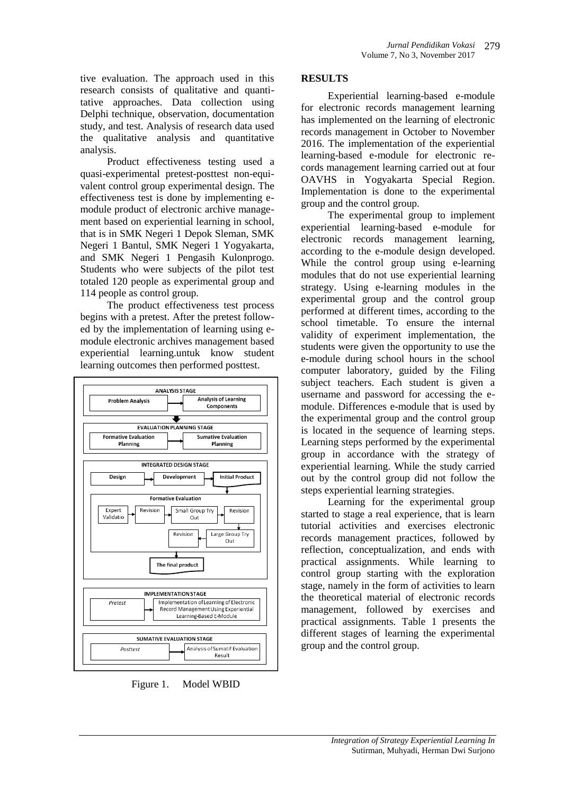tive evaluation. The approach used in this research consists of qualitative and quantitative approaches. Data collection using Delphi technique, observation, documentation study, and test. Analysis of research data used the qualitative analysis and quantitative analysis.

Product effectiveness testing used a quasi-experimental pretest-posttest non-equivalent control group experimental design. The effectiveness test is done by implementing emodule product of electronic archive management based on experiential learning in school, that is in SMK Negeri 1 Depok Sleman, SMK Negeri 1 Bantul, SMK Negeri 1 Yogyakarta, and SMK Negeri 1 Pengasih Kulonprogo. Students who were subjects of the pilot test totaled 120 people as experimental group and 114 people as control group.

The product effectiveness test process begins with a pretest. After the pretest followed by the implementation of learning using emodule electronic archives management based experiential learning.untuk know student learning outcomes then performed posttest.



Figure 1. Model WBID

# **RESULTS**

Experiential learning-based e-module for electronic records management learning has implemented on the learning of electronic records management in October to November 2016. The implementation of the experiential learning-based e-module for electronic records management learning carried out at four OAVHS in Yogyakarta Special Region. Implementation is done to the experimental group and the control group.

The experimental group to implement experiential learning-based e-module for electronic records management learning, according to the e-module design developed. While the control group using e-learning modules that do not use experiential learning strategy. Using e-learning modules in the experimental group and the control group performed at different times, according to the school timetable. To ensure the internal validity of experiment implementation, the students were given the opportunity to use the e-module during school hours in the school computer laboratory, guided by the Filing subject teachers. Each student is given a username and password for accessing the emodule. Differences e-module that is used by the experimental group and the control group is located in the sequence of learning steps. Learning steps performed by the experimental group in accordance with the strategy of experiential learning. While the study carried out by the control group did not follow the steps experiential learning strategies.

Learning for the experimental group started to stage a real experience, that is learn tutorial activities and exercises electronic records management practices, followed by reflection, conceptualization, and ends with practical assignments. While learning to control group starting with the exploration stage, namely in the form of activities to learn the theoretical material of electronic records management, followed by exercises and practical assignments. Table 1 presents the different stages of learning the experimental group and the control group.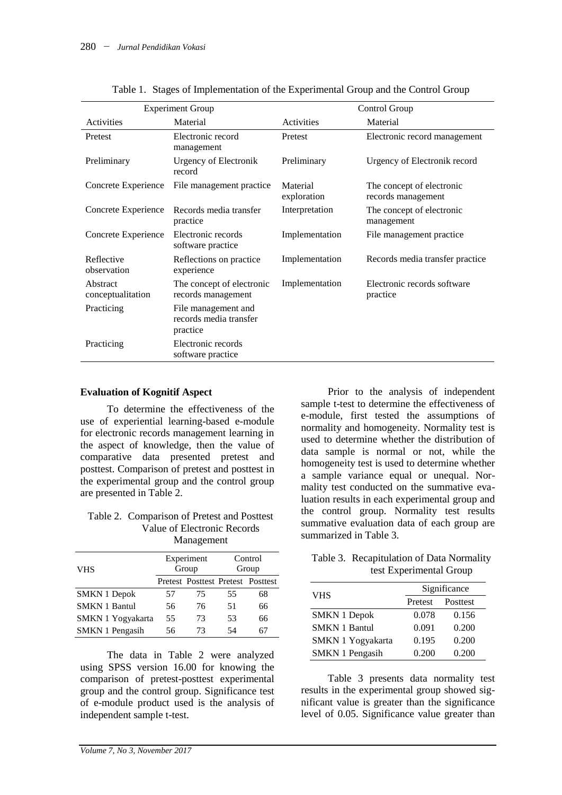|                               | <b>Experiment Group</b>                                   | Control Group           |                                                 |  |
|-------------------------------|-----------------------------------------------------------|-------------------------|-------------------------------------------------|--|
| Activities                    | Material                                                  | Activities              | Material                                        |  |
| Pretest                       | Electronic record<br>management                           | Pretest                 | Electronic record management                    |  |
| Preliminary                   | <b>Urgency of Electronik</b><br>record                    | Preliminary             | Urgency of Electronik record                    |  |
| Concrete Experience           | File management practice                                  | Material<br>exploration | The concept of electronic<br>records management |  |
| Concrete Experience           | Records media transfer<br>practice                        | Interpretation          | The concept of electronic<br>management         |  |
| Concrete Experience           | Electronic records<br>software practice                   | Implementation          | File management practice                        |  |
| Reflective<br>observation     | Reflections on practice<br>experience                     | Implementation          | Records media transfer practice                 |  |
| Abstract<br>conceptualitation | The concept of electronic<br>records management           | Implementation          | Electronic records software<br>practice         |  |
| Practicing                    | File management and<br>records media transfer<br>practice |                         |                                                 |  |
| Practicing                    | Electronic records<br>software practice                   |                         |                                                 |  |

| Table 1. Stages of Implementation of the Experimental Group and the Control Group |  |  |
|-----------------------------------------------------------------------------------|--|--|
|                                                                                   |  |  |

#### **Evaluation of Kognitif Aspect**

To determine the effectiveness of the use of experiential learning-based e-module for electronic records management learning in the aspect of knowledge, then the value of comparative data presented pretest and posttest. Comparison of pretest and posttest in the experimental group and the control group are presented in Table 2.

#### Table 2. Comparison of Pretest and Posttest Value of Electronic Records Management

| <b>VHS</b>             |    | Experiment<br>Group               | Control<br>Group |    |
|------------------------|----|-----------------------------------|------------------|----|
|                        |    | Pretest Posttest Pretest Posttest |                  |    |
| <b>SMKN 1 Depok</b>    | 57 | 75                                | 55               | 68 |
| <b>SMKN 1 Bantul</b>   | 56 | 76                                | 51               | 66 |
| SMKN 1 Yogyakarta      | 55 | 73                                | 53               | 66 |
| <b>SMKN 1 Pengasih</b> | 56 | 73                                | 54               | 67 |

The data in Table 2 were analyzed using SPSS version 16.00 for knowing the comparison of pretest-posttest experimental group and the control group. Significance test of e-module product used is the analysis of independent sample t-test.

Prior to the analysis of independent sample t-test to determine the effectiveness of e-module, first tested the assumptions of normality and homogeneity. Normality test is used to determine whether the distribution of data sample is normal or not, while the homogeneity test is used to determine whether a sample variance equal or unequal. Normality test conducted on the summative evaluation results in each experimental group and the control group. Normality test results summative evaluation data of each group are summarized in Table 3.

## Table 3. Recapitulation of Data Normality test Experimental Group

| <b>VHS</b>           | Significance |          |  |  |
|----------------------|--------------|----------|--|--|
|                      | Pretest      | Posttest |  |  |
| <b>SMKN 1 Depok</b>  | 0.078        | 0.156    |  |  |
| <b>SMKN 1 Bantul</b> | 0.091        | 0.200    |  |  |
| SMKN 1 Yogyakarta    | 0.195        | 0.200    |  |  |
| SMKN 1 Pengasih      | 0.200        | 0.200    |  |  |

Table 3 presents data normality test results in the experimental group showed significant value is greater than the significance level of 0.05. Significance value greater than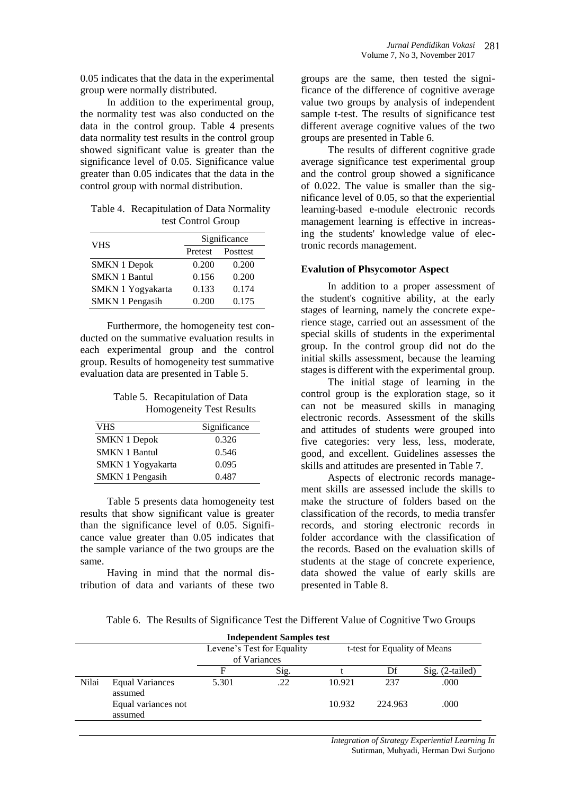0.05 indicates that the data in the experimental group were normally distributed.

In addition to the experimental group, the normality test was also conducted on the data in the control group. Table 4 presents data normality test results in the control group showed significant value is greater than the significance level of 0.05. Significance value greater than 0.05 indicates that the data in the control group with normal distribution.

Table 4. Recapitulation of Data Normality test Control Group

| <b>VHS</b>             | Significance |          |  |  |
|------------------------|--------------|----------|--|--|
|                        | Pretest      | Posttest |  |  |
| <b>SMKN 1 Depok</b>    | 0.200        | 0.200    |  |  |
| <b>SMKN 1 Bantul</b>   | 0.156        | 0.200    |  |  |
| SMKN 1 Yogyakarta      | 0.133        | 0.174    |  |  |
| <b>SMKN 1 Pengasih</b> | 0.200        | 0.175    |  |  |

Furthermore, the homogeneity test conducted on the summative evaluation results in each experimental group and the control group. Results of homogeneity test summative evaluation data are presented in Table 5.

Table 5. Recapitulation of Data Homogeneity Test Results

| <b>VHS</b>           | Significance |
|----------------------|--------------|
| <b>SMKN 1 Depok</b>  | 0.326        |
| <b>SMKN 1 Bantul</b> | 0.546        |
| SMKN 1 Yogyakarta    | 0.095        |
| SMKN 1 Pengasih      | 0.487        |

Table 5 presents data homogeneity test results that show significant value is greater than the significance level of 0.05. Significance value greater than 0.05 indicates that the sample variance of the two groups are the same.

Having in mind that the normal distribution of data and variants of these two groups are the same, then tested the significance of the difference of cognitive average value two groups by analysis of independent sample t-test. The results of significance test different average cognitive values of the two groups are presented in Table 6.

The results of different cognitive grade average significance test experimental group and the control group showed a significance of 0.022. The value is smaller than the significance level of 0.05, so that the experiential learning-based e-module electronic records management learning is effective in increasing the students' knowledge value of electronic records management.

## **Evalution of Phsycomotor Aspect**

In addition to a proper assessment of the student's cognitive ability, at the early stages of learning, namely the concrete experience stage, carried out an assessment of the special skills of students in the experimental group. In the control group did not do the initial skills assessment, because the learning stages is different with the experimental group.

The initial stage of learning in the control group is the exploration stage, so it can not be measured skills in managing electronic records. Assessment of the skills and attitudes of students were grouped into five categories: very less, less, moderate, good, and excellent. Guidelines assesses the skills and attitudes are presented in Table 7.

Aspects of electronic records management skills are assessed include the skills to make the structure of folders based on the classification of the records, to media transfer records, and storing electronic records in folder accordance with the classification of the records. Based on the evaluation skills of students at the stage of concrete experience, data showed the value of early skills are presented in Table 8.

Table 6. The Results of Significance Test the Different Value of Cognitive Two Groups

| <b>Independent Samples test</b> |                                   |       |                            |        |                              |                 |  |
|---------------------------------|-----------------------------------|-------|----------------------------|--------|------------------------------|-----------------|--|
|                                 |                                   |       | Levene's Test for Equality |        | t-test for Equality of Means |                 |  |
|                                 |                                   |       | of Variances               |        |                              |                 |  |
|                                 |                                   | F     | Sig.                       |        | Df                           | Sig. (2-tailed) |  |
| Nilai                           | <b>Equal Variances</b><br>assumed | 5.301 | .22                        | 10.921 | 237                          | .000            |  |
|                                 | Equal variances not<br>assumed    |       |                            | 10.932 | 224.963                      | .000            |  |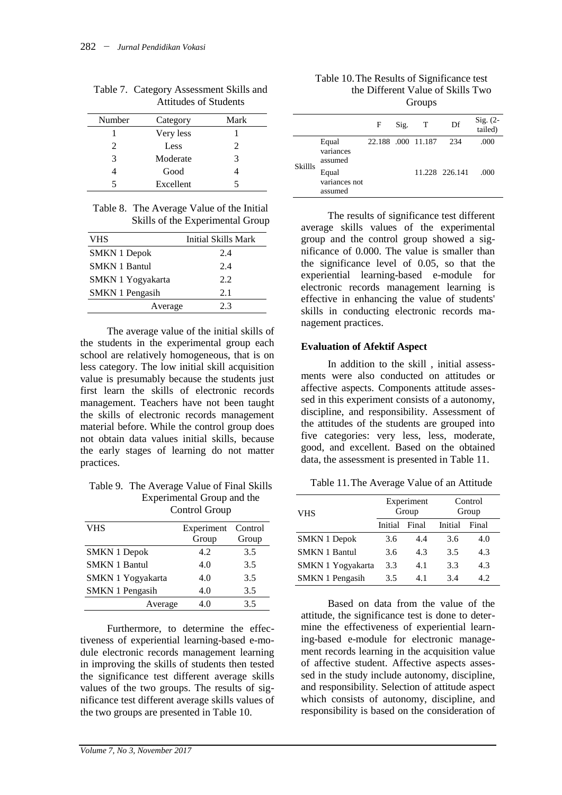| Number | Category  | Mark                        |
|--------|-----------|-----------------------------|
|        | Very less |                             |
| 2.     | Less      | $\mathcal{D}_{\mathcal{L}}$ |
| 3      | Moderate  | 3                           |
|        | Good      |                             |
|        | Excellent |                             |

Table 7. Category Assessment Skills and Attitudes of Students

Table 8. The Average Value of the Initial Skills of the Experimental Group

| VHS                    | Initial Skills Mark |
|------------------------|---------------------|
| <b>SMKN 1 Depok</b>    | 2.4                 |
| <b>SMKN 1 Bantul</b>   | 2.4                 |
| SMKN 1 Yogyakarta      | 2.2                 |
| <b>SMKN 1 Pengasih</b> | 2.1                 |
| Average                | 2.3                 |

The average value of the initial skills of the students in the experimental group each school are relatively homogeneous, that is on less category. The low initial skill acquisition value is presumably because the students just first learn the skills of electronic records management. Teachers have not been taught the skills of electronic records management material before. While the control group does not obtain data values initial skills, because the early stages of learning do not matter practices.

Table 9. The Average Value of Final Skills Experimental Group and the Control Group

|                        | $5.01$ $0.01$ $0.00$ $0.00$ |       |
|------------------------|-----------------------------|-------|
| <b>VHS</b>             | Experiment Control          |       |
|                        | Group                       | Group |
| <b>SMKN 1 Depok</b>    | 4.2                         | 3.5   |
| <b>SMKN 1 Bantul</b>   | 4.0                         | 3.5   |
| SMKN 1 Yogyakarta      | 4.0                         | 3.5   |
| <b>SMKN 1 Pengasih</b> | 4.0                         | 3.5   |
| Average                | 4.0                         | 3.5   |

Furthermore, to determine the effectiveness of experiential learning-based e-module electronic records management learning in improving the skills of students then tested the significance test different average skills values of the two groups. The results of significance test different average skills values of the two groups are presented in Table 10.

Table 10.The Results of Significance test the Different Value of Skills Two Groups

|                |                                   | F                  | Sig. | T | Df             | Sig. $(2-$<br>tailed) |
|----------------|-----------------------------------|--------------------|------|---|----------------|-----------------------|
|                | Equal<br>variances<br>assumed     | 22.188 .000 11.187 |      |   | 234            | .000                  |
| <b>Skillls</b> | Equal<br>variances not<br>assumed |                    |      |   | 11.228 226.141 | .000                  |

The results of significance test different average skills values of the experimental group and the control group showed a significance of 0.000. The value is smaller than the significance level of 0.05, so that the experiential learning-based e-module for electronic records management learning is effective in enhancing the value of students' skills in conducting electronic records management practices.

#### **Evaluation of Afektif Aspect**

In addition to the skill , initial assessments were also conducted on attitudes or affective aspects. Components attitude assessed in this experiment consists of a autonomy, discipline, and responsibility. Assessment of the attitudes of the students are grouped into five categories: very less, less, moderate, good, and excellent. Based on the obtained data, the assessment is presented in Table 11.

Table 11.The Average Value of an Attitude

| <b>VHS</b>             |         | Experiment<br>Group | Control<br>Group |       |
|------------------------|---------|---------------------|------------------|-------|
|                        | Initial | Final               | Initial          | Final |
| <b>SMKN 1 Depok</b>    | 3.6     | 4.4                 | 3.6              | 4.0   |
| <b>SMKN 1 Bantul</b>   | 3.6     | 4.3                 | 3.5              | 4.3   |
| SMKN 1 Yogyakarta      | 3.3     | 4.1                 | 3.3              | 4.3   |
| <b>SMKN 1 Pengasih</b> | 3.5     | 4.1                 | 3.4              | 4.2.  |

Based on data from the value of the attitude, the significance test is done to determine the effectiveness of experiential learning-based e-module for electronic management records learning in the acquisition value of affective student. Affective aspects assessed in the study include autonomy, discipline, and responsibility. Selection of attitude aspect which consists of autonomy, discipline, and responsibility is based on the consideration of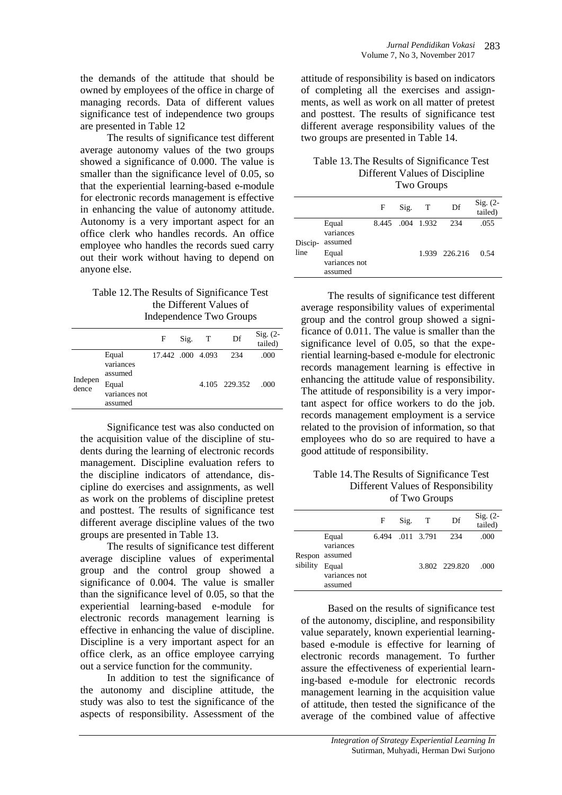the demands of the attitude that should be owned by employees of the office in charge of managing records. Data of different values significance test of independence two groups are presented in Table 12

The results of significance test different average autonomy values of the two groups showed a significance of 0.000. The value is smaller than the significance level of 0.05, so that the experiential learning-based e-module for electronic records management is effective in enhancing the value of autonomy attitude. Autonomy is a very important aspect for an office clerk who handles records. An office employee who handles the records sued carry out their work without having to depend on anyone else.

## Table 12.The Results of Significance Test the Different Values of Independence Two Groups

|                  |                                   | F                 | Sig. | Т | Df            | Sig. (2-<br>tailed) |
|------------------|-----------------------------------|-------------------|------|---|---------------|---------------------|
| Indepen<br>dence | Equal<br>variances<br>assumed     | 17.442 .000 4.093 |      |   | 234           | .000                |
|                  | Equal<br>variances not<br>assumed |                   |      |   | 4.105 229.352 | .000                |

Significance test was also conducted on the acquisition value of the discipline of students during the learning of electronic records management. Discipline evaluation refers to the discipline indicators of attendance, discipline do exercises and assignments, as well as work on the problems of discipline pretest and posttest. The results of significance test different average discipline values of the two groups are presented in Table 13.

The results of significance test different average discipline values of experimental group and the control group showed a significance of 0.004. The value is smaller than the significance level of 0.05, so that the experiential learning-based e-module for electronic records management learning is effective in enhancing the value of discipline. Discipline is a very important aspect for an office clerk, as an office employee carrying out a service function for the community.

In addition to test the significance of the autonomy and discipline attitude, the study was also to test the significance of the aspects of responsibility. Assessment of the attitude of responsibility is based on indicators of completing all the exercises and assignments, as well as work on all matter of pretest and posttest. The results of significance test different average responsibility values of the two groups are presented in Table 14.

## Table 13.The Results of Significance Test Different Values of Discipline Two Groups

|                 |                                   | F | Sig. | Т                | Df            | $Sig. (2-$<br>tailed) |
|-----------------|-----------------------------------|---|------|------------------|---------------|-----------------------|
| Discip-<br>line | Equal<br>variances<br>assumed     |   |      | 8.445 .004 1.932 | 234           | .055                  |
|                 | Equal<br>variances not<br>assumed |   |      |                  | 1.939 226.216 | 0.54                  |

The results of significance test different average responsibility values of experimental group and the control group showed a significance of 0.011. The value is smaller than the significance level of 0.05, so that the experiential learning-based e-module for electronic records management learning is effective in enhancing the attitude value of responsibility. The attitude of responsibility is a very important aspect for office workers to do the job. records management employment is a service related to the provision of information, so that employees who do so are required to have a good attitude of responsibility.

Table 14.The Results of Significance Test Different Values of Responsibility of Two Groups

|          |                                                                           | F | Sig. | $\top$           | Df                   | Sig. (2-<br>tailed) |
|----------|---------------------------------------------------------------------------|---|------|------------------|----------------------|---------------------|
| sibility | Equal<br>variances<br>Respon assumed<br>Equal<br>variances not<br>assumed |   |      | 6.494 .011 3.791 | 234<br>3.802 229.820 | .000<br>.000        |

Based on the results of significance test of the autonomy, discipline, and responsibility value separately, known experiential learningbased e-module is effective for learning of electronic records management. To further assure the effectiveness of experiential learning-based e-module for electronic records management learning in the acquisition value of attitude, then tested the significance of the average of the combined value of affective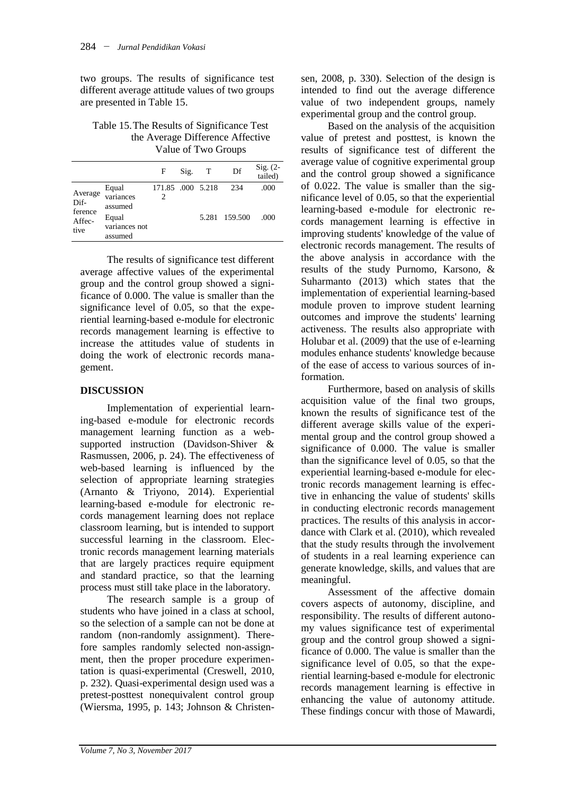two groups. The results of significance test different average attitude values of two groups are presented in Table 15.

## Table 15.The Results of Significance Test the Average Difference Affective Value of Two Groups

|                                              |                                                                    | F                      | Sig. | Т | Df                   | Sig. $(2-$<br>tailed) |
|----------------------------------------------|--------------------------------------------------------------------|------------------------|------|---|----------------------|-----------------------|
| Average<br>Dif-<br>ference<br>Affec-<br>tive | Equal<br>variances<br>assumed<br>Equal<br>variances not<br>assumed | 171.85 .000 5.218<br>2 |      |   | 234<br>5.281 159.500 | .000<br>.000          |

The results of significance test different average affective values of the experimental group and the control group showed a significance of 0.000. The value is smaller than the significance level of 0.05, so that the experiential learning-based e-module for electronic records management learning is effective to increase the attitudes value of students in doing the work of electronic records management.

# **DISCUSSION**

Implementation of experiential learning-based e-module for electronic records management learning function as a websupported instruction (Davidson-Shiver & Rasmussen, 2006, p. 24). The effectiveness of web-based learning is influenced by the selection of appropriate learning strategies (Arnanto & Triyono, 2014). Experiential learning-based e-module for electronic records management learning does not replace classroom learning, but is intended to support successful learning in the classroom. Electronic records management learning materials that are largely practices require equipment and standard practice, so that the learning process must still take place in the laboratory.

The research sample is a group of students who have joined in a class at school, so the selection of a sample can not be done at random (non-randomly assignment). Therefore samples randomly selected non-assignment, then the proper procedure experimentation is quasi-experimental (Creswell, 2010, p. 232). Quasi-experimental design used was a pretest-posttest nonequivalent control group (Wiersma, 1995, p. 143; Johnson & Christensen, 2008, p. 330). Selection of the design is intended to find out the average difference value of two independent groups, namely experimental group and the control group.

Based on the analysis of the acquisition value of pretest and posttest, is known the results of significance test of different the average value of cognitive experimental group and the control group showed a significance of 0.022. The value is smaller than the significance level of 0.05, so that the experiential learning-based e-module for electronic records management learning is effective in improving students' knowledge of the value of electronic records management. The results of the above analysis in accordance with the results of the study Purnomo, Karsono, & Suharmanto (2013) which states that the implementation of experiential learning-based module proven to improve student learning outcomes and improve the students' learning activeness. The results also appropriate with Holubar et al. (2009) that the use of e-learning modules enhance students' knowledge because of the ease of access to various sources of information.

Furthermore, based on analysis of skills acquisition value of the final two groups, known the results of significance test of the different average skills value of the experimental group and the control group showed a significance of 0.000. The value is smaller than the significance level of 0.05, so that the experiential learning-based e-module for electronic records management learning is effective in enhancing the value of students' skills in conducting electronic records management practices. The results of this analysis in accordance with Clark et al. (2010), which revealed that the study results through the involvement of students in a real learning experience can generate knowledge, skills, and values that are meaningful.

Assessment of the affective domain covers aspects of autonomy, discipline, and responsibility. The results of different autonomy values significance test of experimental group and the control group showed a significance of 0.000. The value is smaller than the significance level of 0.05, so that the experiential learning-based e-module for electronic records management learning is effective in enhancing the value of autonomy attitude. These findings concur with those of Mawardi,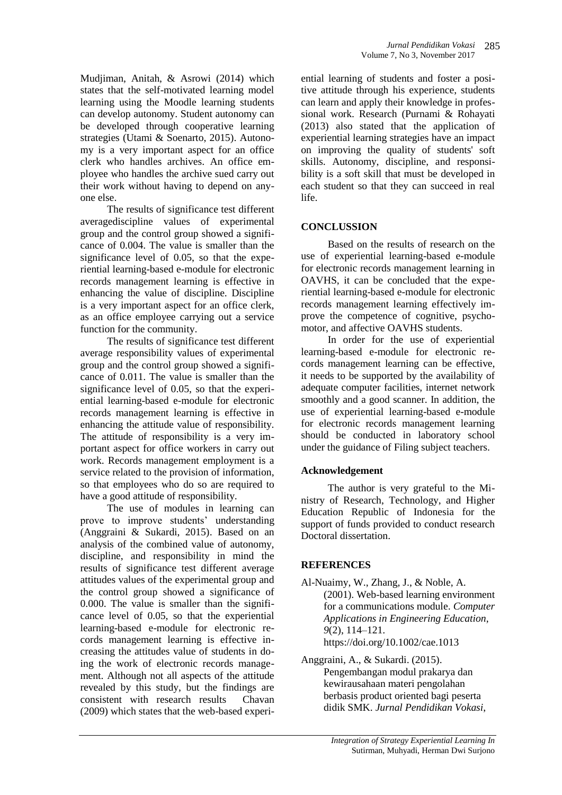Mudjiman, Anitah, & Asrowi (2014) which states that the self-motivated learning model learning using the Moodle learning students can develop autonomy. Student autonomy can be developed through cooperative learning strategies (Utami & Soenarto, 2015). Autonomy is a very important aspect for an office clerk who handles archives. An office employee who handles the archive sued carry out their work without having to depend on anyone else.

The results of significance test different averagediscipline values of experimental group and the control group showed a significance of 0.004. The value is smaller than the significance level of 0.05, so that the experiential learning-based e-module for electronic records management learning is effective in enhancing the value of discipline. Discipline is a very important aspect for an office clerk, as an office employee carrying out a service function for the community.

The results of significance test different average responsibility values of experimental group and the control group showed a significance of 0.011. The value is smaller than the significance level of 0.05, so that the experiential learning-based e-module for electronic records management learning is effective in enhancing the attitude value of responsibility. The attitude of responsibility is a very important aspect for office workers in carry out work. Records management employment is a service related to the provision of information, so that employees who do so are required to have a good attitude of responsibility.

The use of modules in learning can prove to improve students' understanding (Anggraini & Sukardi, 2015). Based on an analysis of the combined value of autonomy, discipline, and responsibility in mind the results of significance test different average attitudes values of the experimental group and the control group showed a significance of 0.000. The value is smaller than the significance level of 0.05, so that the experiential learning-based e-module for electronic records management learning is effective increasing the attitudes value of students in doing the work of electronic records management. Although not all aspects of the attitude revealed by this study, but the findings are consistent with research results Chavan (2009) which states that the web-based experi-

ential learning of students and foster a positive attitude through his experience, students can learn and apply their knowledge in professional work. Research (Purnami & Rohayati (2013) also stated that the application of experiential learning strategies have an impact on improving the quality of students' soft skills. Autonomy, discipline, and responsibility is a soft skill that must be developed in each student so that they can succeed in real life.

*Jurnal Pendidikan Vokasi* 

285

# **CONCLUSSION**

Based on the results of research on the use of experiential learning-based e-module for electronic records management learning in OAVHS, it can be concluded that the experiential learning-based e-module for electronic records management learning effectively improve the competence of cognitive, psychomotor, and affective OAVHS students.

In order for the use of experiential learning-based e-module for electronic records management learning can be effective, it needs to be supported by the availability of adequate computer facilities, internet network smoothly and a good scanner. In addition, the use of experiential learning-based e-module for electronic records management learning should be conducted in laboratory school under the guidance of Filing subject teachers.

# **Acknowledgement**

The author is very grateful to the Ministry of Research, Technology, and Higher Education Republic of Indonesia for the support of funds provided to conduct research Doctoral dissertation.

## **REFERENCES**

- Al-Nuaimy, W., Zhang, J., & Noble, A. (2001). Web-based learning environment for a communications module. *Computer Applications in Engineering Education*, *9*(2), 114–121. https://doi.org/10.1002/cae.1013
- Anggraini, A., & Sukardi. (2015). Pengembangan modul prakarya dan kewirausahaan materi pengolahan berbasis product oriented bagi peserta didik SMK. *Jurnal Pendidikan Vokasi*,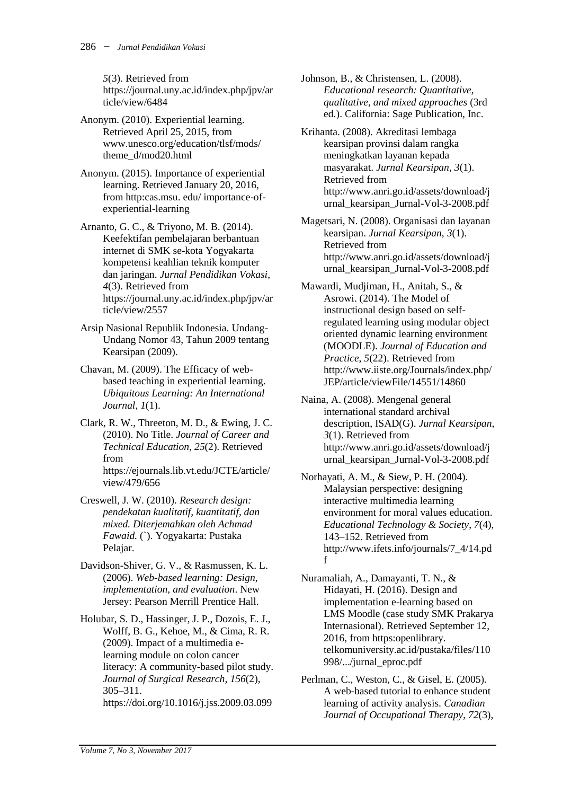*5*(3). Retrieved from https://journal.uny.ac.id/index.php/jpv/ar ticle/view/6484

- Anonym. (2010). Experiential learning. Retrieved April 25, 2015, from www.unesco.org/education/tlsf/mods/ theme\_d/mod20.html
- Anonym. (2015). Importance of experiential learning. Retrieved January 20, 2016, from http:cas.msu. edu/ importance-ofexperiential-learning
- Arnanto, G. C., & Triyono, M. B. (2014). Keefektifan pembelajaran berbantuan internet di SMK se-kota Yogyakarta kompetensi keahlian teknik komputer dan jaringan. *Jurnal Pendidikan Vokasi*, *4*(3). Retrieved from https://journal.uny.ac.id/index.php/jpv/ar ticle/view/2557
- Arsip Nasional Republik Indonesia. Undang-Undang Nomor 43, Tahun 2009 tentang Kearsipan (2009).
- Chavan, M. (2009). The Efficacy of webbased teaching in experiential learning. *Ubiquitous Learning: An International Journal*, *1*(1).
- Clark, R. W., Threeton, M. D., & Ewing, J. C. (2010). No Title. *Journal of Career and Technical Education*, *25*(2). Retrieved from https://ejournals.lib.vt.edu/JCTE/article/ view/479/656
- Creswell, J. W. (2010). *Research design: pendekatan kualitatif, kuantitatif, dan mixed. Diterjemahkan oleh Achmad Fawaid.* (`). Yogyakarta: Pustaka Pelajar.
- Davidson-Shiver, G. V., & Rasmussen, K. L. (2006). *Web-based learning: Design, implementation, and evaluation*. New Jersey: Pearson Merrill Prentice Hall.
- Holubar, S. D., Hassinger, J. P., Dozois, E. J., Wolff, B. G., Kehoe, M., & Cima, R. R. (2009). Impact of a multimedia elearning module on colon cancer literacy: A community-based pilot study. *Journal of Surgical Research*, *156*(2), 305–311. https://doi.org/10.1016/j.jss.2009.03.099

Johnson, B., & Christensen, L. (2008). *Educational research: Quantitative, qualitative, and mixed approaches* (3rd ed.). California: Sage Publication, Inc.

Krihanta. (2008). Akreditasi lembaga kearsipan provinsi dalam rangka meningkatkan layanan kepada masyarakat. *Jurnal Kearsipan*, *3*(1). Retrieved from http://www.anri.go.id/assets/download/j urnal\_kearsipan\_Jurnal-Vol-3-2008.pdf

Magetsari, N. (2008). Organisasi dan layanan kearsipan. *Jurnal Kearsipan*, *3*(1). Retrieved from http://www.anri.go.id/assets/download/j urnal\_kearsipan\_Jurnal-Vol-3-2008.pdf

Mawardi, Mudjiman, H., Anitah, S., & Asrowi. (2014). The Model of instructional design based on selfregulated learning using modular object oriented dynamic learning environment (MOODLE). *Journal of Education and Practice*, *5*(22). Retrieved from http://www.iiste.org/Journals/index.php/ JEP/article/viewFile/14551/14860

Naina, A. (2008). Mengenal general international standard archival description, ISAD(G). *Jurnal Kearsipan*, *3*(1). Retrieved from http://www.anri.go.id/assets/download/j urnal\_kearsipan\_Jurnal-Vol-3-2008.pdf

Norhayati, A. M., & Siew, P. H. (2004). Malaysian perspective: designing interactive multimedia learning environment for moral values education. *Educational Technology & Society*, *7*(4), 143–152. Retrieved from http://www.ifets.info/journals/7\_4/14.pd f

- Nuramaliah, A., Damayanti, T. N., & Hidayati, H. (2016). Design and implementation e-learning based on LMS Moodle (case study SMK Prakarya Internasional). Retrieved September 12, 2016, from https:openlibrary. telkomuniversity.ac.id/pustaka/files/110 998/.../jurnal\_eproc.pdf
- Perlman, C., Weston, C., & Gisel, E. (2005). A web-based tutorial to enhance student learning of activity analysis. *Canadian Journal of Occupational Therapy*, *72*(3),